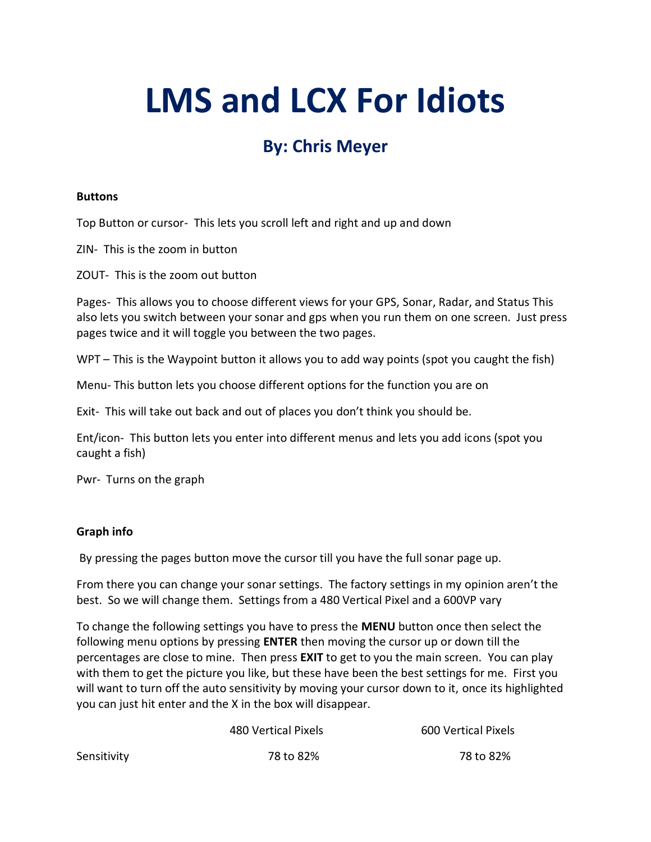# **LMS and LCX For Idiots**

# **By: Chris Meyer**

#### **Buttons**

Top Button or cursor- This lets you scroll left and right and up and down

ZIN- This is the zoom in button

ZOUT- This is the zoom out button

Pages- This allows you to choose different views for your GPS, Sonar, Radar, and Status This also lets you switch between your sonar and gps when you run them on one screen. Just press pages twice and it will toggle you between the two pages.

WPT – This is the Waypoint button it allows you to add way points (spot you caught the fish)

Menu- This button lets you choose different options for the function you are on

Exit- This will take out back and out of places you don't think you should be.

Ent/icon- This button lets you enter into different menus and lets you add icons (spot you caught a fish)

Pwr- Turns on the graph

#### **Graph info**

By pressing the pages button move the cursor till you have the full sonar page up.

From there you can change your sonar settings. The factory settings in my opinion aren't the best. So we will change them. Settings from a 480 Vertical Pixel and a 600VP vary

To change the following settings you have to press the **MENU** button once then select the following menu options by pressing **ENTER** then moving the cursor up or down till the percentages are close to mine. Then press **EXIT** to get to you the main screen. You can play with them to get the picture you like, but these have been the best settings for me. First you will want to turn off the auto sensitivity by moving your cursor down to it, once its highlighted you can just hit enter and the X in the box will disappear.

|             | 480 Vertical Pixels | 600 Vertical Pixels |  |
|-------------|---------------------|---------------------|--|
| Sensitivity | 78 to 82%           | 78 to 82%           |  |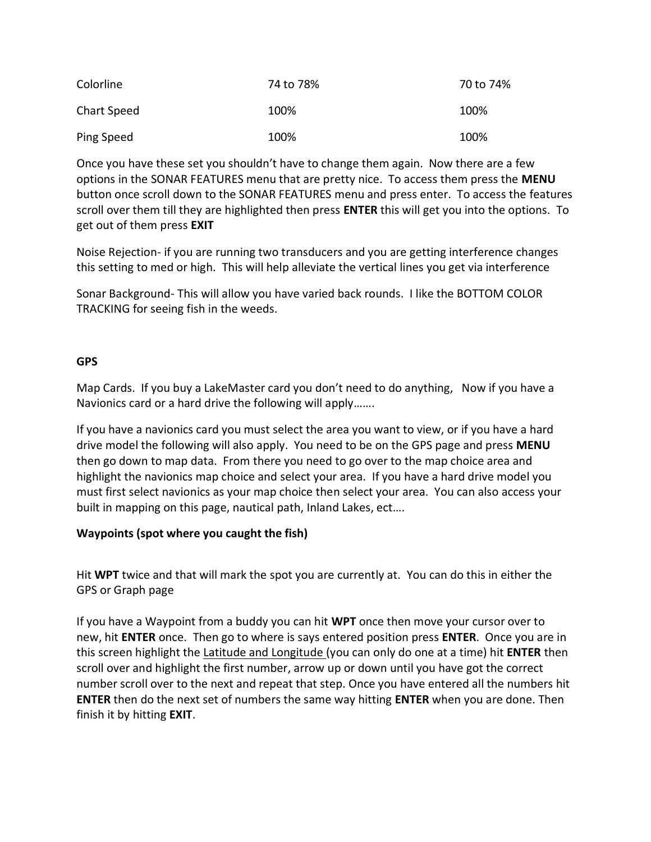| Colorline   | 74 to 78% | 70 to 74% |
|-------------|-----------|-----------|
| Chart Speed | 100%      | 100%      |
| Ping Speed  | 100%      | 100%      |

Once you have these set you shouldn't have to change them again. Now there are a few options in the SONAR FEATURES menu that are pretty nice. To access them press the **MENU** button once scroll down to the SONAR FEATURES menu and press enter. To access the features scroll over them till they are highlighted then press **ENTER** this will get you into the options. To get out of them press **EXIT**

Noise Rejection- if you are running two transducers and you are getting interference changes this setting to med or high. This will help alleviate the vertical lines you get via interference

Sonar Background- This will allow you have varied back rounds. I like the BOTTOM COLOR TRACKING for seeing fish in the weeds.

#### **GPS**

Map Cards. If you buy a LakeMaster card you don't need to do anything, Now if you have a Navionics card or a hard drive the following will apply…….

If you have a navionics card you must select the area you want to view, or if you have a hard drive model the following will also apply. You need to be on the GPS page and press **MENU**  then go down to map data. From there you need to go over to the map choice area and highlight the navionics map choice and select your area. If you have a hard drive model you must first select navionics as your map choice then select your area. You can also access your built in mapping on this page, nautical path, Inland Lakes, ect….

### **Waypoints (spot where you caught the fish)**

Hit **WPT** twice and that will mark the spot you are currently at. You can do this in either the GPS or Graph page

If you have a Waypoint from a buddy you can hit **WPT** once then move your cursor over to new, hit **ENTER** once. Then go to where is says entered position press **ENTER**. Once you are in this screen highlight the Latitude and Longitude (you can only do one at a time) hit **ENTER** then scroll over and highlight the first number, arrow up or down until you have got the correct number scroll over to the next and repeat that step. Once you have entered all the numbers hit **ENTER** then do the next set of numbers the same way hitting **ENTER** when you are done. Then finish it by hitting **EXIT**.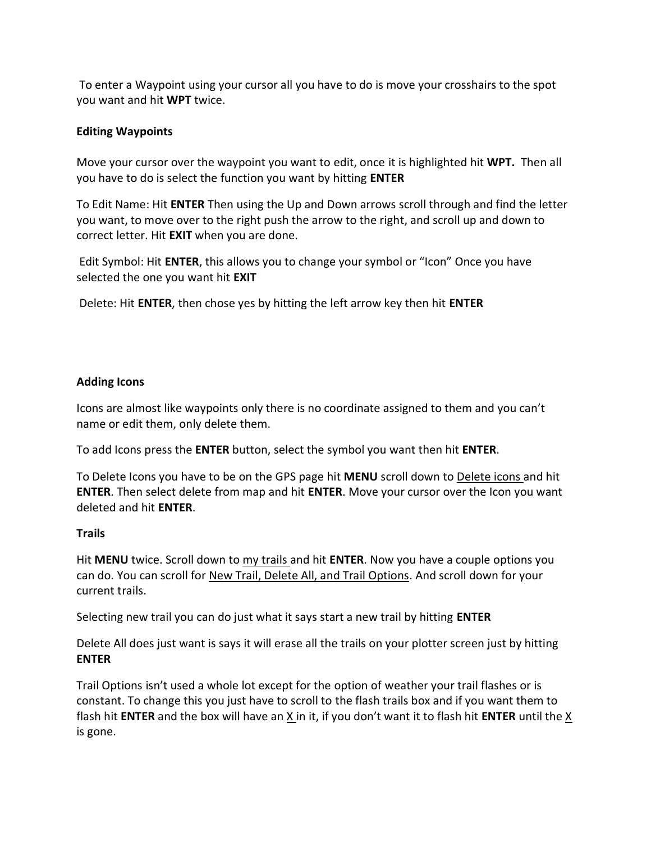To enter a Waypoint using your cursor all you have to do is move your crosshairs to the spot you want and hit **WPT** twice.

#### **Editing Waypoints**

Move your cursor over the waypoint you want to edit, once it is highlighted hit **WPT.** Then all you have to do is select the function you want by hitting **ENTER**

To Edit Name: Hit **ENTER** Then using the Up and Down arrows scroll through and find the letter you want, to move over to the right push the arrow to the right, and scroll up and down to correct letter. Hit **EXIT** when you are done.

Edit Symbol: Hit **ENTER**, this allows you to change your symbol or "Icon" Once you have selected the one you want hit **EXIT** 

Delete: Hit **ENTER**, then chose yes by hitting the left arrow key then hit **ENTER** 

#### **Adding Icons**

Icons are almost like waypoints only there is no coordinate assigned to them and you can't name or edit them, only delete them.

To add Icons press the **ENTER** button, select the symbol you want then hit **ENTER**.

To Delete Icons you have to be on the GPS page hit **MENU** scroll down to Delete icons and hit **ENTER**. Then select delete from map and hit **ENTER**. Move your cursor over the Icon you want deleted and hit **ENTER**.

#### **Trails**

Hit **MENU** twice. Scroll down to my trails and hit **ENTER**. Now you have a couple options you can do. You can scroll for New Trail, Delete All, and Trail Options. And scroll down for your current trails.

Selecting new trail you can do just what it says start a new trail by hitting **ENTER** 

Delete All does just want is says it will erase all the trails on your plotter screen just by hitting **ENTER** 

Trail Options isn't used a whole lot except for the option of weather your trail flashes or is constant. To change this you just have to scroll to the flash trails box and if you want them to flash hit **ENTER** and the box will have an X in it, if you don't want it to flash hit **ENTER** until the X is gone.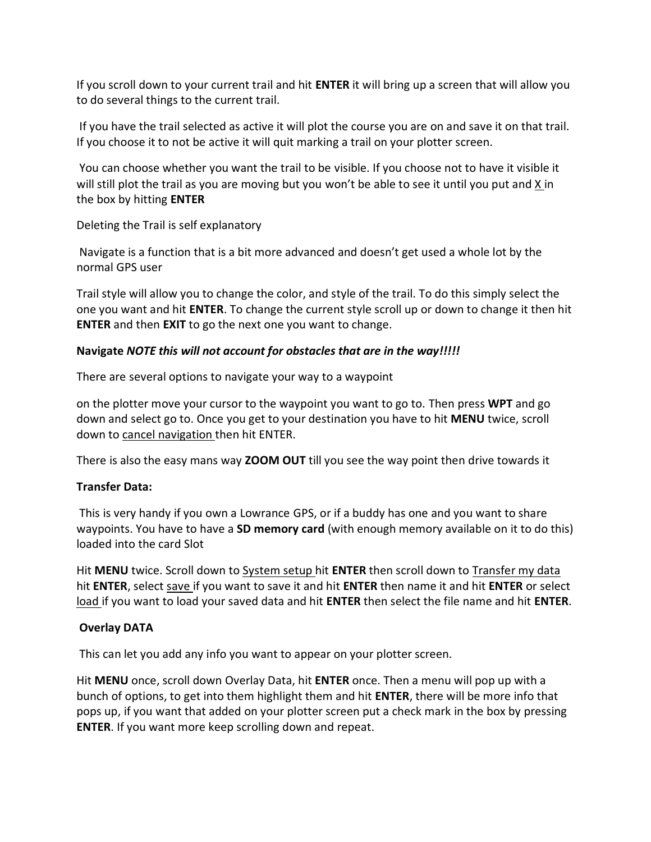If you scroll down to your current trail and hit **ENTER** it will bring up a screen that will allow you to do several things to the current trail.

If you have the trail selected as active it will plot the course you are on and save it on that trail. If you choose it to not be active it will quit marking a trail on your plotter screen.

You can choose whether you want the trail to be visible. If you choose not to have it visible it will still plot the trail as you are moving but you won't be able to see it until you put and X in the box by hitting **ENTER** 

Deleting the Trail is self explanatory

Navigate is a function that is a bit more advanced and doesn't get used a whole lot by the normal GPS user

Trail style will allow you to change the color, and style of the trail. To do this simply select the one you want and hit **ENTER**. To change the current style scroll up or down to change it then hit **ENTER** and then **EXIT** to go the next one you want to change.

## **Navigate** *NOTE this will not account for obstacles that are in the way!!!!!*

There are several options to navigate your way to a waypoint

on the plotter move your cursor to the waypoint you want to go to. Then press **WPT** and go down and select go to. Once you get to your destination you have to hit **MENU** twice, scroll down to cancel navigation then hit ENTER.

There is also the easy mans way **ZOOM OUT** till you see the way point then drive towards it

### **Transfer Data:**

This is very handy if you own a Lowrance GPS, or if a buddy has one and you want to share waypoints. You have to have a **SD memory card** (with enough memory available on it to do this) loaded into the card Slot

Hit **MENU** twice. Scroll down to System setup hit **ENTER** then scroll down to Transfer my data hit **ENTER**, select save if you want to save it and hit **ENTER** then name it and hit **ENTER** or select load if you want to load your saved data and hit **ENTER** then select the file name and hit **ENTER**.

### **Overlay DATA**

This can let you add any info you want to appear on your plotter screen.

Hit **MENU** once, scroll down Overlay Data, hit **ENTER** once. Then a menu will pop up with a bunch of options, to get into them highlight them and hit **ENTER**, there will be more info that pops up, if you want that added on your plotter screen put a check mark in the box by pressing **ENTER**. If you want more keep scrolling down and repeat.